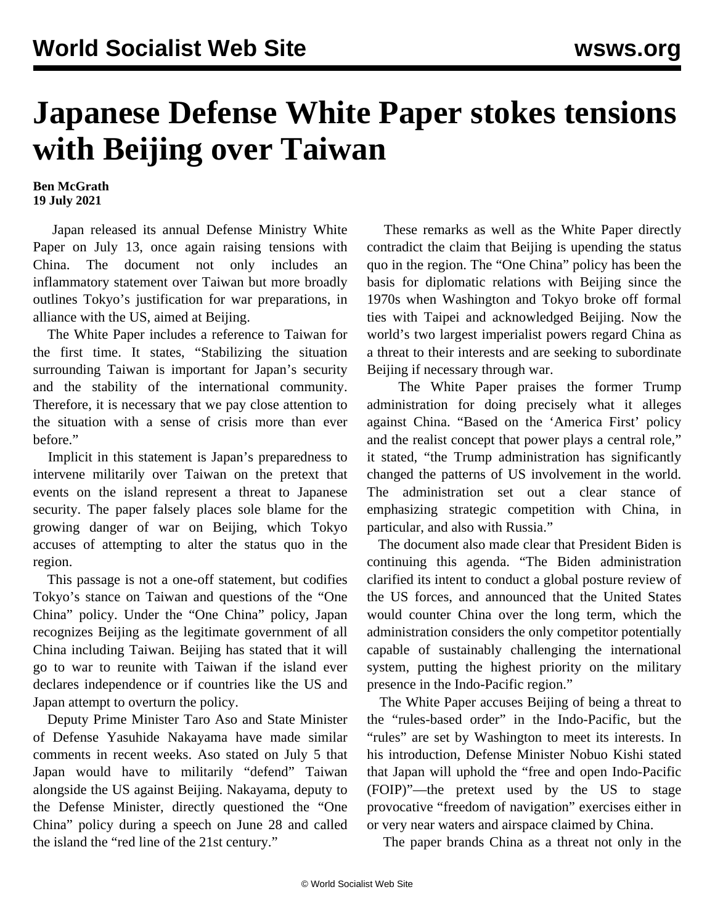## **Japanese Defense White Paper stokes tensions with Beijing over Taiwan**

**Ben McGrath 19 July 2021**

 Japan released its annual Defense Ministry White Paper on July 13, once again raising tensions with China. The document not only includes an inflammatory statement over Taiwan but more broadly outlines Tokyo's justification for war preparations, in alliance with the US, aimed at Beijing.

 The White Paper includes a reference to Taiwan for the first time. It states, "Stabilizing the situation surrounding Taiwan is important for Japan's security and the stability of the international community. Therefore, it is necessary that we pay close attention to the situation with a sense of crisis more than ever before."

 Implicit in this statement is Japan's preparedness to intervene militarily over Taiwan on the pretext that events on the island represent a threat to Japanese security. The paper falsely places sole blame for the growing danger of war on Beijing, which Tokyo accuses of attempting to alter the status quo in the region.

 This passage is not a one-off statement, but codifies Tokyo's stance on Taiwan and questions of the "One China" policy. Under the "One China" policy, Japan recognizes Beijing as the legitimate government of all China including Taiwan. Beijing has stated that it will go to war to reunite with Taiwan if the island ever declares independence or if countries like the US and Japan attempt to overturn the policy.

 Deputy Prime Minister Taro Aso and State Minister of Defense Yasuhide Nakayama have made similar comments in recent weeks. Aso stated on July 5 that Japan would have to militarily "defend" Taiwan alongside the US against Beijing. Nakayama, deputy to the Defense Minister, directly questioned the "One China" policy during a speech on June 28 and called the island the "red line of the 21st century."

 These remarks as well as the White Paper directly contradict the claim that Beijing is upending the status quo in the region. The "One China" policy has been the basis for diplomatic relations with Beijing since the 1970s when Washington and Tokyo broke off formal ties with Taipei and acknowledged Beijing. Now the world's two largest imperialist powers regard China as a threat to their interests and are seeking to subordinate Beijing if necessary through war.

 The White Paper praises the former Trump administration for doing precisely what it alleges against China. "Based on the 'America First' policy and the realist concept that power plays a central role," it stated, "the Trump administration has significantly changed the patterns of US involvement in the world. The administration set out a clear stance of emphasizing strategic competition with China, in particular, and also with Russia."

 The document also made clear that President Biden is continuing this agenda. "The Biden administration clarified its intent to conduct a global posture review of the US forces, and announced that the United States would counter China over the long term, which the administration considers the only competitor potentially capable of sustainably challenging the international system, putting the highest priority on the military presence in the Indo-Pacific region."

 The White Paper accuses Beijing of being a threat to the "rules-based order" in the Indo-Pacific, but the "rules" are set by Washington to meet its interests. In his introduction, Defense Minister Nobuo Kishi stated that Japan will uphold the "free and open Indo-Pacific (FOIP)"—the pretext used by the US to stage provocative "freedom of navigation" exercises either in or very near waters and airspace claimed by China.

The paper brands China as a threat not only in the